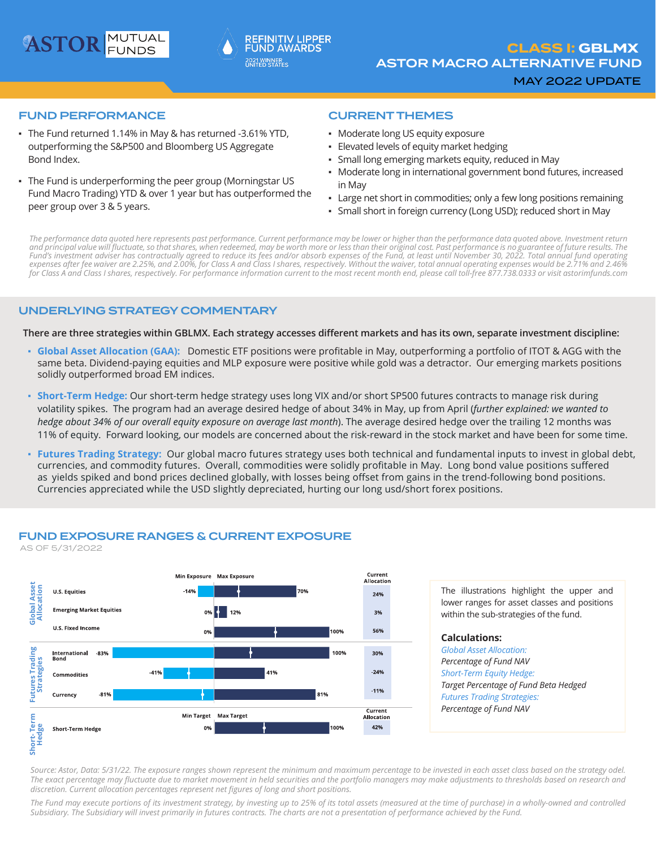



### FUND PERFORMANCE

- The Fund returned 1.14% in May & has returned -3.61% YTD, outperforming the S&P500 and Bloomberg US Aggregate Bond Index.
- The Fund is underperforming the peer group (Morningstar US Fund Macro Trading) YTD & over 1 year but has outperformed the peer group over 3 & 5 years.

### CURRENT THEMES

- Moderate long US equity exposure
- **Elevated levels of equity market hedging**
- Small long emerging markets equity, reduced in May
- Moderate long in international government bond futures, increased in May
- Large net short in commodities; only a few long positions remaining
- Small short in foreign currency (Long USD); reduced short in May

*The performance data quoted here represents past performance. Current performance may be lower or higher than the performance data quoted above. Investment return and principal value will fluctuate, so that shares, when redeemed, may be worth more or less than their original cost. Past performance is no guarantee of future results. The Fund's investment adviser has contractually agreed to reduce its fees and/or absorb expenses of the Fund, at least until November 30, 2022. Total annual fund operating expenses after fee waiver are 2.25%, and 2.00%, for Class A and Class I shares, respectively. Without the waiver, total annual operating expenses would be 2.71% and 2.46% for Class A and Class I shares, respectively. For performance information current to the most recent month end, please call toll-free 877.738.0333 or visit astorimfunds.com*

### UNDERLYING STRATEGY COMMENTARY

There are three strategies within GBLMX. Each strategy accesses different markets and has its own, separate investment discipline:

- **Global Asset Allocation (GAA):** Domestic ETF positions were profitable in May, outperforming a portfolio of ITOT & AGG with the same beta. Dividend-paying equities and MLP exposure were positive while gold was a detractor. Our emerging markets positions solidly outperformed broad EM indices.
- **Short-Term Hedge:** Our short-term hedge strategy uses long VIX and/or short SP500 futures contracts to manage risk during volatility spikes. The program had an average desired hedge of about 34% in May, up from April (*further explained: we wanted to hedge about 34% of our overall equity exposure on average last month*). The average desired hedge over the trailing 12 months was 11% of equity. Forward looking, our models are concerned about the risk-reward in the stock market and have been for some time.
- **Futures Trading Strategy:** Our global macro futures strategy uses both technical and fundamental inputs to invest in global debt, currencies, and commodity futures. Overall, commodities were solidly profitable in May. Long bond value positions suffered as yields spiked and bond prices declined globally, with losses being offset from gains in the trend-following bond positions. Currencies appreciated while the USD slightly depreciated, hurting our long usd/short forex positions.



The illustrations highlight the upper and lower ranges for asset classes and positions within the sub-strategies of the fund.

**Calculations:** *Global Asset Allocation: Percentage of Fund NAV Short-Term Equity Hedge: Target Percentage of Fund Beta Hedged Futures Trading Strategies: Percentage of Fund NAV*

*Source: Astor, Data: 5/31/22. The exposure ranges shown represent the minimum and maximum percentage to be invested in each asset class based on the strategy odel. The exact percentage may fluctuate due to market movement in held securities and the portfolio managers may make adjustments to thresholds based on research and discretion. Current allocation percentages represent net figures of long and short positions.*

*The Fund may execute portions of its investment strategy, by investing up to 25% of its total assets (measured at the time of purchase) in a wholly-owned and controlled* 

# FUND EXPOSURE RANGES & CURRENT EXPOSURE

AS OF 5/31/2022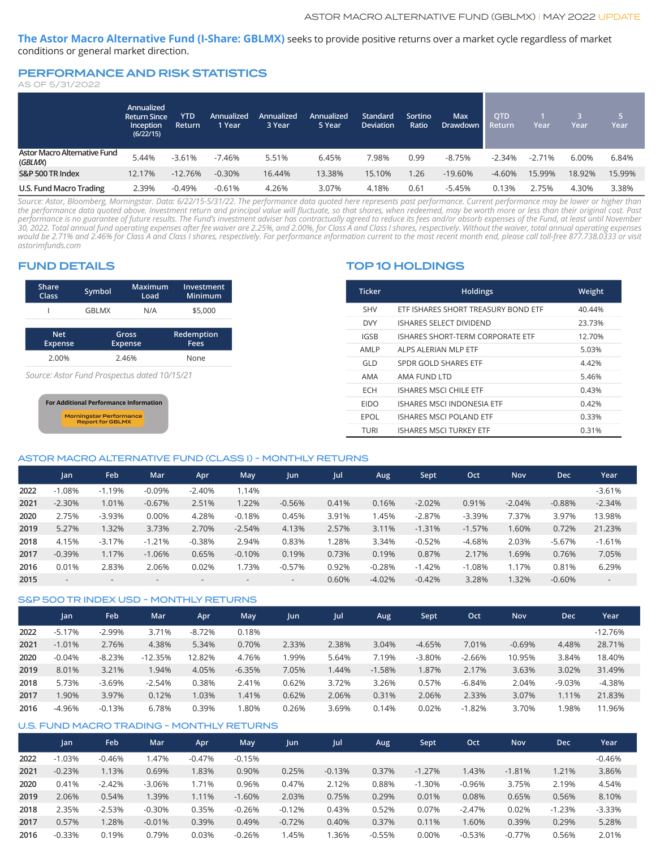**The Astor Macro Alternative Fund (I-Share: GBLMX)** seeks to provide positive returns over a market cycle regardless of market conditions or general market direction.

### PERFORMANCE AND RISK STATISTICS

| AS OF 5/31/2022 |  |  |
|-----------------|--|--|
|-----------------|--|--|

|                                         | Annualized<br><b>Return Since</b><br>Inception | <b>YTD</b><br>Return | Annualized<br>1 Year | Annualized'<br>3 Year | Annualized ˈ<br>5 Year | <b>Standard</b><br><b>Deviation</b> | Sortino<br>Ratio | <b>Max</b><br>'Drawdown. | <b>QTD</b><br>Return | Year     | Year   | 757<br>Year |
|-----------------------------------------|------------------------------------------------|----------------------|----------------------|-----------------------|------------------------|-------------------------------------|------------------|--------------------------|----------------------|----------|--------|-------------|
|                                         | (6/22/15)                                      |                      |                      |                       |                        |                                     |                  |                          |                      |          |        |             |
| Astor Macro Alternative Fund<br>(GBLMX) | 5.44%                                          | $-3.61%$             | $-7.46%$             | 5.51%                 | 6.45%                  | 7.98%                               | 0.99             | $-8.75%$                 | $-2.34%$             | $-2.71%$ | 6.00%  | 6.84%       |
| S&P 500 TR Index                        | 12.17%                                         | $-12.76%$            | $-0.30%$             | 16.44%                | 13.38%                 | 15.10%                              | 1.26             | $-19.60%$                | $-4.60%$             | 15.99%   | 18.92% | 15.99%      |
| U.S. Fund Macro Trading                 | 2.39%                                          | $-0.49%$             | $-0.61%$             | 4.26%                 | 3.07%                  | 4.18%                               | 0.61             | -5.45%                   | 0.13%                | 2.75%    | 4.30%  | 3.38%       |

*Source: Astor, Bloomberg, Morningstar. Data: 6/22/15-5/31/22. The performance data quoted here represents past performance. Current performance may be lower or higher than the performance data quoted above. Investment return and principal value will fluctuate, so that shares, when redeemed, may be worth more or less than their original cost. Past performance is no guarantee of future results. The Fund's investment adviser has contractually agreed to reduce its fees and/or absorb expenses of the Fund, at least until November 30, 2022. Total annual fund operating expenses after fee waiver are 2.25%, and 2.00%, for Class A and Class I shares, respectively. Without the waiver, total annual operating expenses would be 2.71% and 2.46% for Class A and Class I shares, respectively. For performance information current to the most recent month end, please call toll-free 877.738.0333 or visit astorimfunds.com*

### FUND DETAILS

| Share          | Symbol       | Maximum        | Investment |
|----------------|--------------|----------------|------------|
| Class          |              | Load           | Minimum    |
|                | <b>GBLMX</b> | N/A            | \$5,000    |
| <b>Net</b>     |              | Gross          | Redemption |
| <b>Expense</b> |              | <b>Expense</b> | Fees       |
| 2.00%          |              | 2.46%          | None       |

*Source: Astor Fund Prospectus dated 10/15/21*



## TOP 10 HOLDINGS

| <b>Ticker</b>    | <b>Holdings</b>                     | Weight |
|------------------|-------------------------------------|--------|
| <b>SHV</b>       | ETF ISHARES SHORT TREASURY BOND ETF | 40.44% |
| <b>DVY</b>       | ISHARES SELECT DIVIDEND             | 23.73% |
| <b>IGSB</b>      | ISHARES SHORT-TERM CORPORATE ETE    | 12.70% |
| AMI <sub>P</sub> | AI PS AI FRIAN MI P FTF             | 5.03%  |
| GI D             | SPDR GOLD SHARES ETF                | 4.42%  |
| AMA              | AMA FUND LTD                        | 5.46%  |
| <b>FCH</b>       | ISHARES MSCLCHILE FTE               | 0.43%  |
| <b>EIDO</b>      | <b>ISHARES MSCLINDONESIA ETF</b>    | 0.42%  |
| EPOL             | <b>ISHARES MSCI POLAND ETF</b>      | 0.33%  |
| TURI             | <b>ISHARES MSCI TURKEY ETF</b>      | 0.31%  |

#### ASTOR MACRO ALTERNATIVE FUND (CLASS I) - MONTHLY RETURNS

|      | <b>Jan</b>               | Feb      | Mar      | Apr      | May      | Jun                      | Jul   | Aug      | Sept     | Oct      | <b>Nov</b> | <b>Dec</b> | Year                     |
|------|--------------------------|----------|----------|----------|----------|--------------------------|-------|----------|----------|----------|------------|------------|--------------------------|
| 2022 | $-1.08%$                 | $-1.19%$ | $-0.09%$ | $-2.40%$ | 1.14%    |                          |       |          |          |          |            |            | $-3.61%$                 |
| 2021 | $-2.30%$                 | 1.01%    | $-0.67%$ | 2.51%    | 1.22%    | $-0.56%$                 | 0.41% | 0.16%    | $-2.02%$ | 0.91%    | $-2.04%$   | $-0.88%$   | $-2.34%$                 |
| 2020 | 2.75%                    | $-3.93%$ | 0.00%    | 4.28%    | $-0.18%$ | 0.45%                    | 3.91% | 1.45%    | $-2.87%$ | $-3.39%$ | 7.37%      | 3.97%      | 13.98%                   |
| 2019 | 5.27%                    | 1.32%    | 3.73%    | 2.70%    | $-2.54%$ | 4.13%                    | 2.57% | 3.11%    | $-1.31%$ | $-1.57%$ | 1.60%      | 0.72%      | 21.23%                   |
| 2018 | 4.15%                    | $-3.17%$ | $-1.21%$ | $-0.38%$ | 2.94%    | 0.83%                    | 1.28% | 3.34%    | $-0.52%$ | $-4.68%$ | 2.03%      | $-5.67%$   | $-1.61%$                 |
| 2017 | $-0.39%$                 | 1.17%    | $-1.06%$ | 0.65%    | $-0.10%$ | 0.19%                    | 0.73% | 0.19%    | 0.87%    | 2.17%    | .69%       | 0.76%      | 7.05%                    |
| 2016 | 0.01%                    | 2.83%    | 2.06%    | 0.02%    | 1.73%    | $-0.57\%$                | 0.92% | $-0.28%$ | $-1.42%$ | $-1.08%$ | 1.17%      | 0.81%      | 6.29%                    |
| 2015 | $\overline{\phantom{a}}$ |          |          |          |          | $\overline{\phantom{a}}$ | 0.60% | $-4.02%$ | $-0.42%$ | 3.28%    | .32%       | $-0.60%$   | $\overline{\phantom{a}}$ |

#### S&P 500 TR INDEX USD - MONTHLY RETURNS

|      | Jan       | Feb       | Mar       | Apr      | May      | Jun   | Jul   | Aug      | Sept     | Oct      | <b>Nov</b> | <b>Dec</b> | Year      |
|------|-----------|-----------|-----------|----------|----------|-------|-------|----------|----------|----------|------------|------------|-----------|
| 2022 | $-5.17%$  | $-2.99\%$ | 3.71%     | $-8.72%$ | 0.18%    |       |       |          |          |          |            |            | $-12.76%$ |
| 2021 | $-1.01%$  | 2.76%     | 4.38%     | 5.34%    | 0.70%    | 2.33% | 2.38% | 3.04%    | $-4.65%$ | 7.01%    | $-0.69%$   | 4.48%      | 28.71%    |
| 2020 | $-0.04\%$ | $-8.23%$  | $-12.35%$ | 12.82%   | 4.76%    | 1.99% | 5.64% | 7.19%    | $-3.80%$ | $-2.66%$ | 10.95%     | 3.84%      | 18.40%    |
| 2019 | 8.01%     | 3.21%     | 1.94%     | 4.05%    | $-6.35%$ | 7.05% | .44%  | $-1.58%$ | 1.87%    | 2.17%    | 3.63%      | 3.02%      | 31.49%    |
| 2018 | 5.73%     | $-3.69%$  | $-2.54%$  | 0.38%    | 2.41%    | 0.62% | 3.72% | 3.26%    | 0.57%    | $-6.84%$ | 2.04%      | $-9.03%$   | $-4.38%$  |
| 2017 | .90%      | 3.97%     | 0.12%     | .03%     | 1.41%    | 0.62% | 2.06% | 0.31%    | 2.06%    | 2.33%    | 3.07%      | 1.11%      | 21.83%    |
| 2016 | -4.96%    | $-0.13%$  | 6.78%     | 0.39%    | .80%     | 0.26% | 3.69% | 0.14%    | 0.02%    | $-1.82%$ | 3.70%      | .98%       | 11.96%    |

### U.S. FUND MACRO TRADING - MONTHLY RETURNS

|      | Jan      | Feb      | Mar      | Apr      | May      | Jun      | Jul      | Aug.     | Sept     | Oct      | <b>Nov</b> | Dec      | Year     |
|------|----------|----------|----------|----------|----------|----------|----------|----------|----------|----------|------------|----------|----------|
| 2022 | $-1.03%$ | $-0.46%$ | .47%     | $-0.47%$ | $-0.15%$ |          |          |          |          |          |            |          | $-0.46%$ |
| 2021 | $-0.23%$ | 1.13%    | 0.69%    | 1.83%    | 0.90%    | 0.25%    | $-0.13%$ | 0.37%    | $-1.27%$ | 1.43%    | $-1.81%$   | 1.21%    | 3.86%    |
| 2020 | 0.41%    | $-2.42%$ | $-3.06%$ | 1.71%    | 0.96%    | 0.47%    | 2.12%    | 0.88%    | $-1.30%$ | $-0.96%$ | 3.75%      | 2.19%    | 4.54%    |
| 2019 | 2.06%    | 0.54%    | 1.39%    | 1.11%    | $-1.60%$ | 2.03%    | 0.75%    | 0.29%    | 0.01%    | 0.08%    | 0.65%      | 0.56%    | 8.10%    |
| 2018 | 2.35%    | $-2.53%$ | $-0.30%$ | 0.35%    | $-0.26%$ | $-0.12%$ | 0.43%    | 0.52%    | 0.07%    | $-2.47%$ | 0.02%      | $-1.23%$ | $-3.33%$ |
| 2017 | 0.57%    | .28%     | $-0.01%$ | 0.39%    | 0.49%    | $-0.72%$ | 0.40%    | 0.37%    | 0.11%    | 1.60%    | 0.39%      | 0.29%    | 5.28%    |
| 2016 | $-0.33%$ | 0.19%    | 0.79%    | 0.03%    | $-0.26%$ | .45%     | .36%     | $-0.55%$ | 0.00%    | $-0.53%$ | $-0.77%$   | 0.56%    | 2.01%    |